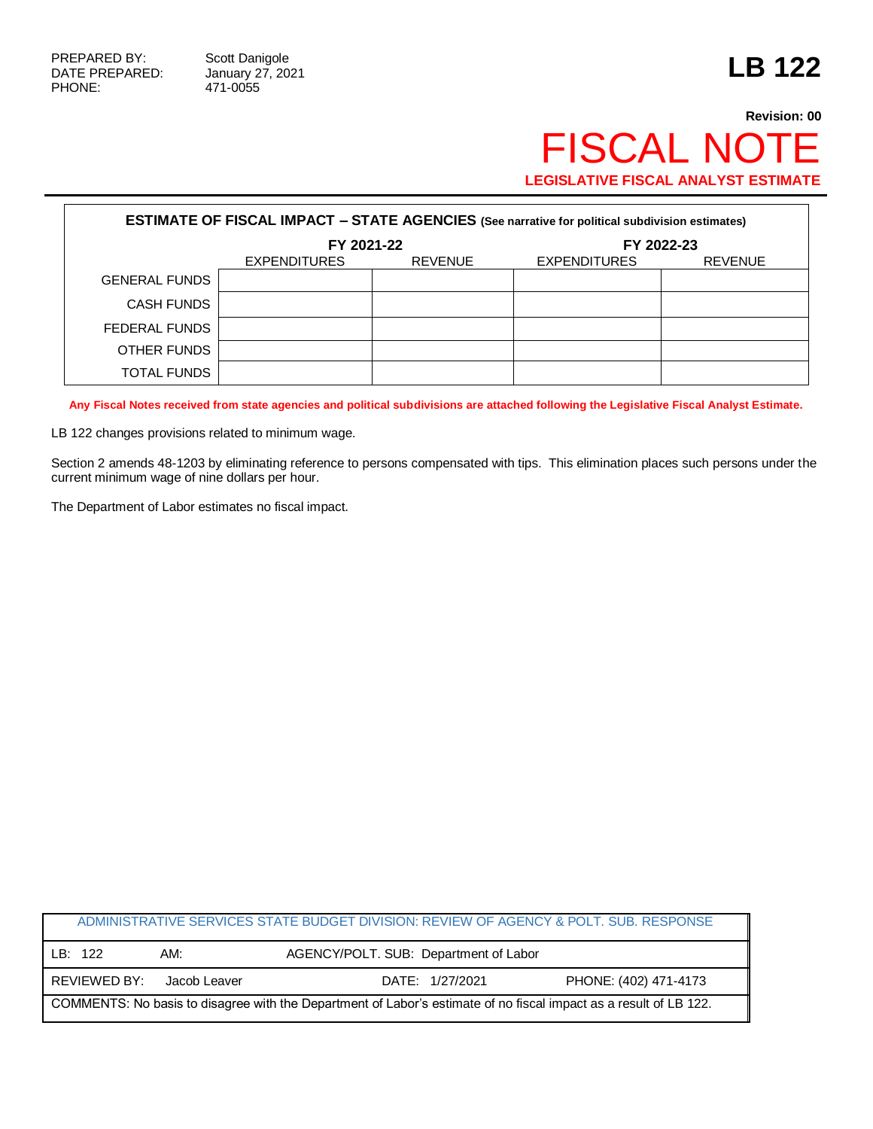Г

471-0055

## **Revision: 00** FISCAL NOTE **LEGISLATIVE FISCAL ANALYST ESTIMATE**

| <b>ESTIMATE OF FISCAL IMPACT - STATE AGENCIES (See narrative for political subdivision estimates)</b> |                     |                |                     |                |  |
|-------------------------------------------------------------------------------------------------------|---------------------|----------------|---------------------|----------------|--|
|                                                                                                       | FY 2021-22          |                | FY 2022-23          |                |  |
|                                                                                                       | <b>EXPENDITURES</b> | <b>REVENUE</b> | <b>EXPENDITURES</b> | <b>REVENUE</b> |  |
| <b>GENERAL FUNDS</b>                                                                                  |                     |                |                     |                |  |
| <b>CASH FUNDS</b>                                                                                     |                     |                |                     |                |  |
| FEDERAL FUNDS                                                                                         |                     |                |                     |                |  |
| OTHER FUNDS                                                                                           |                     |                |                     |                |  |
| TOTAL FUNDS                                                                                           |                     |                |                     |                |  |

**Any Fiscal Notes received from state agencies and political subdivisions are attached following the Legislative Fiscal Analyst Estimate.**

LB 122 changes provisions related to minimum wage.

Section 2 amends 48-1203 by eliminating reference to persons compensated with tips. This elimination places such persons under the current minimum wage of nine dollars per hour.

The Department of Labor estimates no fiscal impact.

|                                                                                                                   |              |              | ADMINISTRATIVE SERVICES STATE BUDGET DIVISION: REVIEW OF AGENCY & POLT. SUB. RESPONSE |                       |  |
|-------------------------------------------------------------------------------------------------------------------|--------------|--------------|---------------------------------------------------------------------------------------|-----------------------|--|
|                                                                                                                   | LB: 122      | AM:          | AGENCY/POLT. SUB: Department of Labor                                                 |                       |  |
|                                                                                                                   | REVIEWED BY: | Jacob Leaver | DATE: 1/27/2021                                                                       | PHONE: (402) 471-4173 |  |
| COMMENTS: No basis to disagree with the Department of Labor's estimate of no fiscal impact as a result of LB 122. |              |              |                                                                                       |                       |  |